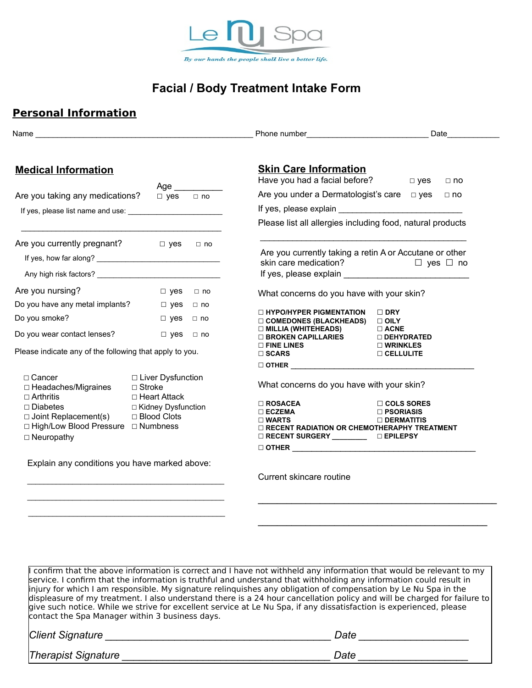

# **Facial / Body Treatment Intake Form**

#### **Personal Information**

|                                                                                                                                                                      |                                                                                                           |           | Phone number <b>example and the service of the service of the service of the service of the service of the service of the service of the service of the service of the service of the service of the service of the service of t</b>                                                                                                                                                                                                                                                                                                                                                                            |                                                               |
|----------------------------------------------------------------------------------------------------------------------------------------------------------------------|-----------------------------------------------------------------------------------------------------------|-----------|-----------------------------------------------------------------------------------------------------------------------------------------------------------------------------------------------------------------------------------------------------------------------------------------------------------------------------------------------------------------------------------------------------------------------------------------------------------------------------------------------------------------------------------------------------------------------------------------------------------------|---------------------------------------------------------------|
| <b>Medical Information</b>                                                                                                                                           |                                                                                                           |           | <b>Skin Care Information</b><br>Have you had a facial before?                                                                                                                                                                                                                                                                                                                                                                                                                                                                                                                                                   | $\Box$ yes                                                    |
|                                                                                                                                                                      | Age $\_\_$                                                                                                |           | Are you under a Dermatologist's care $\Box$ yes                                                                                                                                                                                                                                                                                                                                                                                                                                                                                                                                                                 | $\Box$ no<br>$\Box$ no                                        |
| Are you taking any medications?                                                                                                                                      | $\Box$ yes $\Box$ no                                                                                      |           | If yes, please explain example and the state of the state of the state of the state of the state of the state of the state of the state of the state of the state of the state of the state of the state of the state of the s                                                                                                                                                                                                                                                                                                                                                                                  |                                                               |
|                                                                                                                                                                      |                                                                                                           |           | Please list all allergies including food, natural products                                                                                                                                                                                                                                                                                                                                                                                                                                                                                                                                                      |                                                               |
|                                                                                                                                                                      |                                                                                                           |           |                                                                                                                                                                                                                                                                                                                                                                                                                                                                                                                                                                                                                 |                                                               |
| Are you currently pregnant?                                                                                                                                          | $\Box$ yes                                                                                                | $\Box$ no | Are you currently taking a retin A or Accutane or other                                                                                                                                                                                                                                                                                                                                                                                                                                                                                                                                                         |                                                               |
|                                                                                                                                                                      |                                                                                                           |           | skin care medication? $\Box$ yes $\Box$ no                                                                                                                                                                                                                                                                                                                                                                                                                                                                                                                                                                      |                                                               |
|                                                                                                                                                                      |                                                                                                           |           |                                                                                                                                                                                                                                                                                                                                                                                                                                                                                                                                                                                                                 |                                                               |
| Are you nursing?                                                                                                                                                     | $\Box$ yes                                                                                                | $\Box$ no | What concerns do you have with your skin?                                                                                                                                                                                                                                                                                                                                                                                                                                                                                                                                                                       |                                                               |
| Do you have any metal implants? $\Box$ yes $\Box$ no                                                                                                                 |                                                                                                           |           | <b>IN HYPO/HYPER PIGMENTATION</b>                                                                                                                                                                                                                                                                                                                                                                                                                                                                                                                                                                               | $\Box$ DRY                                                    |
| Do you smoke?                                                                                                                                                        | $\Box$ yes $\Box$ no                                                                                      |           | $\Box$ COMEDONES (BLACKHEADS)                                                                                                                                                                                                                                                                                                                                                                                                                                                                                                                                                                                   | $\Box$ OILY                                                   |
| Do you wear contact lenses? $\Box$ yes $\Box$ no                                                                                                                     |                                                                                                           |           | $\Box$ MILLIA (WHITEHEADS)<br>□ BROKEN CAPILLARIES                                                                                                                                                                                                                                                                                                                                                                                                                                                                                                                                                              | $\Box$ ACNE<br><b>DEHYDRATED</b>                              |
| Please indicate any of the following that apply to you.                                                                                                              |                                                                                                           |           | $\square$ FINE LINES<br>$\square$ SCARS                                                                                                                                                                                                                                                                                                                                                                                                                                                                                                                                                                         | $\square$ WRINKLES<br>$\Box$ CELLULITE                        |
|                                                                                                                                                                      |                                                                                                           |           |                                                                                                                                                                                                                                                                                                                                                                                                                                                                                                                                                                                                                 |                                                               |
| □ Cancer<br>$\Box$ Headaches/Migraines<br>$\Box$ Arthritis<br>$\Box$ Diabetes<br>□ Joint Replacement(s)<br>□ High/Low Blood Pressure □ Numbness<br>$\Box$ Neuropathy | □ Liver Dysfunction<br>$\Box$ Stroke<br>$\Box$ Heart Attack<br>□ Kidney Dysfunction<br>$\Box$ Blood Clots |           | What concerns do you have with your skin?<br>$\square$ ROSACEA<br>$\square$ ECZEMA<br>$\square$ WARTS<br>$\Box$ RECENT RADIATION OR CHEMOTHERAPHY TREATMENT<br>□ RECENT SURGERY __________ □ EPILEPSY                                                                                                                                                                                                                                                                                                                                                                                                           | $\Box$ COLS SORES<br>$\square$ PSORIASIS<br>$\Box$ DERMATITIS |
| Explain any conditions you have marked above:                                                                                                                        |                                                                                                           |           | Current skincare routine                                                                                                                                                                                                                                                                                                                                                                                                                                                                                                                                                                                        |                                                               |
|                                                                                                                                                                      |                                                                                                           |           |                                                                                                                                                                                                                                                                                                                                                                                                                                                                                                                                                                                                                 |                                                               |
| contact the Spa Manager within 3 business days.                                                                                                                      |                                                                                                           |           | confirm that the above information is correct and I have not withheld any information that would be relevant to my<br>service. I confirm that the information is truthful and understand that withholding any information could result in<br>injury for which I am responsible. My signature relinquishes any obligation of compensation by Le Nu Spa in the<br>displeasure of my treatment. I also understand there is a 24 hour cancellation policy and will be charged for failure to<br>give such notice. While we strive for excellent service at Le Nu Spa, if any dissatisfaction is experienced, please |                                                               |
|                                                                                                                                                                      |                                                                                                           |           |                                                                                                                                                                                                                                                                                                                                                                                                                                                                                                                                                                                                                 |                                                               |
|                                                                                                                                                                      |                                                                                                           |           |                                                                                                                                                                                                                                                                                                                                                                                                                                                                                                                                                                                                                 |                                                               |